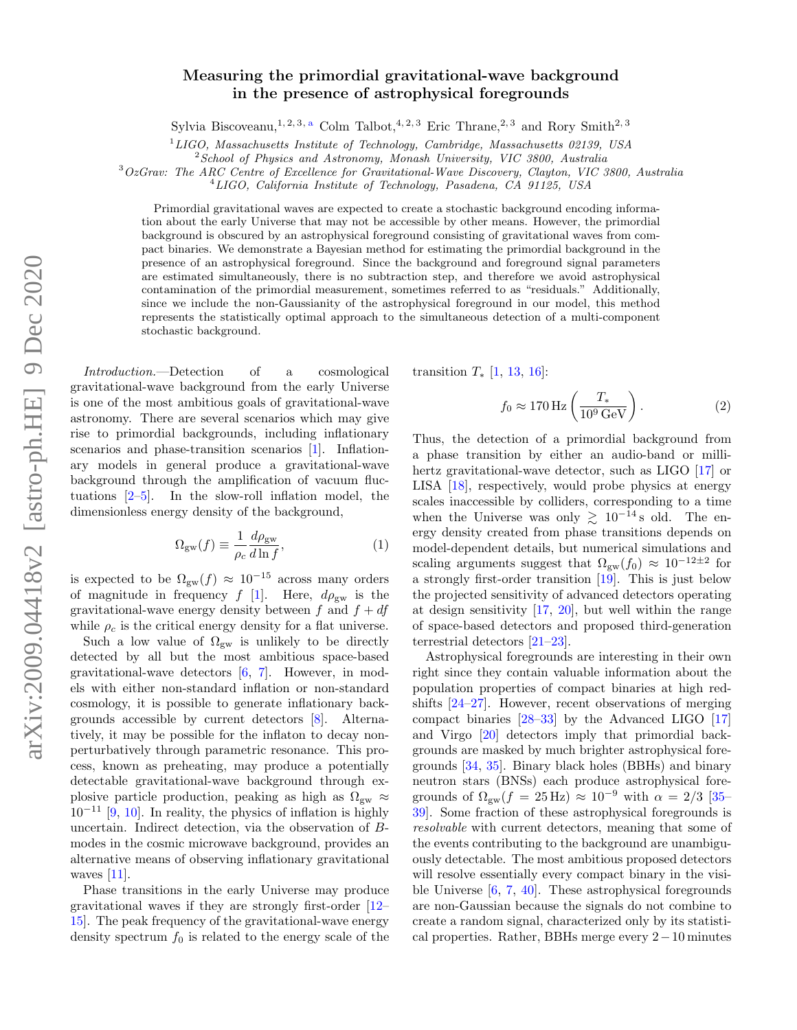## Measuring the primordial gravitational-wave background in the presence of astrophysical foregrounds

Sylvi[a](#page-5-0) Biscoveanu,<sup>1, 2, 3, a</sup> Colm Talbot,<sup>4, 2, 3</sup> Eric Thrane,<sup>2, 3</sup> and Rory Smith<sup>2, 3</sup>

 $1$ LIGO, Massachusetts Institute of Technology, Cambridge, Massachusetts 02139, USA

 $2$ School of Physics and Astronomy, Monash University, VIC 3800, Australia

<sup>3</sup>OzGrav: The ARC Centre of Excellence for Gravitational-Wave Discovery, Clayton, VIC 3800, Australia

 $^{4}LIGO, California Institute of Technology, Pasadena, CA 91125, USA$ 

Primordial gravitational waves are expected to create a stochastic background encoding information about the early Universe that may not be accessible by other means. However, the primordial background is obscured by an astrophysical foreground consisting of gravitational waves from compact binaries. We demonstrate a Bayesian method for estimating the primordial background in the presence of an astrophysical foreground. Since the background and foreground signal parameters are estimated simultaneously, there is no subtraction step, and therefore we avoid astrophysical contamination of the primordial measurement, sometimes referred to as "residuals." Additionally, since we include the non-Gaussianity of the astrophysical foreground in our model, this method represents the statistically optimal approach to the simultaneous detection of a multi-component stochastic background.

Introduction.—Detection of a cosmological gravitational-wave background from the early Universe is one of the most ambitious goals of gravitational-wave astronomy. There are several scenarios which may give rise to primordial backgrounds, including inflationary scenarios and phase-transition scenarios [\[1\]](#page-5-1). Inflationary models in general produce a gravitational-wave background through the amplification of vacuum fluctuations  $[2-5]$  $[2-5]$ . In the slow-roll inflation model, the dimensionless energy density of the background,

$$
\Omega_{\rm gw}(f) \equiv \frac{1}{\rho_c} \frac{d\rho_{\rm gw}}{d\ln f},\tag{1}
$$

is expected to be  $\Omega_{\rm gw}(f) \approx 10^{-15}$  across many orders of magnitude in frequency f [\[1\]](#page-5-1). Here,  $d\rho_{gw}$  is the gravitational-wave energy density between f and  $f + df$ while  $\rho_c$  is the critical energy density for a flat universe.

Such a low value of  $\Omega_{\rm gw}$  is unlikely to be directly detected by all but the most ambitious space-based gravitational-wave detectors [\[6,](#page-5-4) [7\]](#page-5-5). However, in models with either non-standard inflation or non-standard cosmology, it is possible to generate inflationary backgrounds accessible by current detectors [\[8\]](#page-5-6). Alternatively, it may be possible for the inflaton to decay nonperturbatively through parametric resonance. This process, known as preheating, may produce a potentially detectable gravitational-wave background through explosive particle production, peaking as high as  $\Omega_{gw} \approx$  $10^{-11}$  [\[9,](#page-5-7) [10\]](#page-5-8). In reality, the physics of inflation is highly uncertain. Indirect detection, via the observation of Bmodes in the cosmic microwave background, provides an alternative means of observing inflationary gravitational waves  $[11]$ .

Phase transitions in the early Universe may produce gravitational waves if they are strongly first-order [\[12–](#page-5-10) [15\]](#page-5-11). The peak frequency of the gravitational-wave energy density spectrum  $f_0$  is related to the energy scale of the

transition  $T_*$  [\[1,](#page-5-1) [13,](#page-5-12) [16\]](#page-5-13):

$$
f_0 \approx 170 \,\text{Hz} \left( \frac{T_*}{10^9 \,\text{GeV}} \right). \tag{2}
$$

Thus, the detection of a primordial background from a phase transition by either an audio-band or millihertz gravitational-wave detector, such as LIGO [\[17\]](#page-5-14) or LISA [\[18\]](#page-5-15), respectively, would probe physics at energy scales inaccessible by colliders, corresponding to a time when the Universe was only  $\geq 10^{-14}$  s old. The energy density created from phase transitions depends on model-dependent details, but numerical simulations and scaling arguments suggest that  $\Omega_{\rm gw}(f_0) \approx 10^{-12 \pm 2}$  for a strongly first-order transition [\[19\]](#page-5-16). This is just below the projected sensitivity of advanced detectors operating at design sensitivity [\[17,](#page-5-14) [20\]](#page-5-17), but well within the range of space-based detectors and proposed third-generation terrestrial detectors [\[21–](#page-5-18)[23\]](#page-5-19).

Astrophysical foregrounds are interesting in their own right since they contain valuable information about the population properties of compact binaries at high redshifts [\[24–](#page-5-20)[27\]](#page-5-21). However, recent observations of merging compact binaries [\[28–](#page-6-0)[33\]](#page-6-1) by the Advanced LIGO [\[17\]](#page-5-14) and Virgo [\[20\]](#page-5-17) detectors imply that primordial backgrounds are masked by much brighter astrophysical foregrounds [\[34,](#page-6-2) [35\]](#page-6-3). Binary black holes (BBHs) and binary neutron stars (BNSs) each produce astrophysical foregrounds of  $\Omega_{\rm gw}(f = 25 \,\rm Hz) \approx 10^{-9}$  with  $\alpha = 2/3$  [\[35–](#page-6-3) [39\]](#page-6-4). Some fraction of these astrophysical foregrounds is resolvable with current detectors, meaning that some of the events contributing to the background are unambiguously detectable. The most ambitious proposed detectors will resolve essentially every compact binary in the visible Universe [\[6,](#page-5-4) [7,](#page-5-5) [40\]](#page-6-5). These astrophysical foregrounds are non-Gaussian because the signals do not combine to create a random signal, characterized only by its statistical properties. Rather, BBHs merge every 2−10 minutes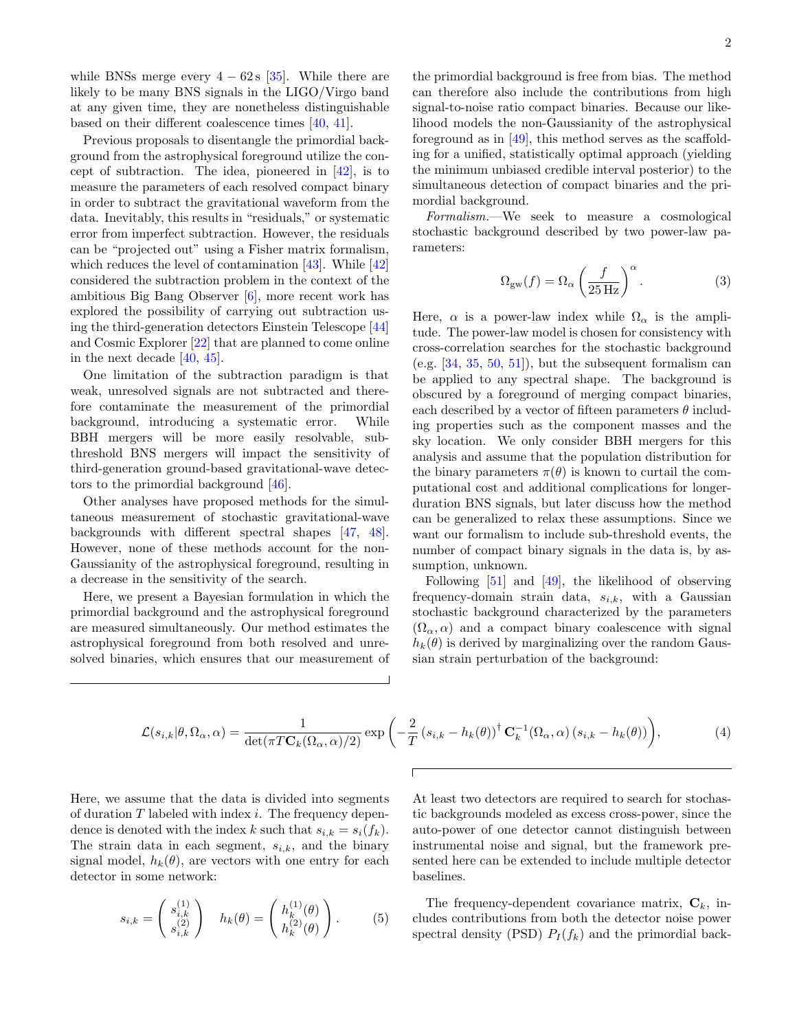while BNSs merge every  $4 - 62 s$  [\[35\]](#page-6-3). While there are likely to be many BNS signals in the LIGO/Virgo band at any given time, they are nonetheless distinguishable based on their different coalescence times [\[40,](#page-6-5) [41\]](#page-6-6).

Previous proposals to disentangle the primordial background from the astrophysical foreground utilize the concept of subtraction. The idea, pioneered in  $[42]$ , is to measure the parameters of each resolved compact binary in order to subtract the gravitational waveform from the data. Inevitably, this results in "residuals," or systematic error from imperfect subtraction. However, the residuals can be "projected out" using a Fisher matrix formalism, which reduces the level of contamination [\[43\]](#page-6-8). While [\[42\]](#page-6-7) considered the subtraction problem in the context of the ambitious Big Bang Observer [\[6\]](#page-5-4), more recent work has explored the possibility of carrying out subtraction using the third-generation detectors Einstein Telescope [\[44\]](#page-6-9) and Cosmic Explorer [\[22\]](#page-5-22) that are planned to come online in the next decade [\[40,](#page-6-5) [45\]](#page-6-10).

One limitation of the subtraction paradigm is that weak, unresolved signals are not subtracted and therefore contaminate the measurement of the primordial background, introducing a systematic error. While BBH mergers will be more easily resolvable, subthreshold BNS mergers will impact the sensitivity of third-generation ground-based gravitational-wave detectors to the primordial background [\[46\]](#page-6-11).

Other analyses have proposed methods for the simultaneous measurement of stochastic gravitational-wave backgrounds with different spectral shapes [\[47,](#page-6-12) [48\]](#page-6-13). However, none of these methods account for the non-Gaussianity of the astrophysical foreground, resulting in a decrease in the sensitivity of the search.

Here, we present a Bayesian formulation in which the primordial background and the astrophysical foreground are measured simultaneously. Our method estimates the astrophysical foreground from both resolved and unresolved binaries, which ensures that our measurement of

the primordial background is free from bias. The method can therefore also include the contributions from high signal-to-noise ratio compact binaries. Because our likelihood models the non-Gaussianity of the astrophysical foreground as in [\[49\]](#page-6-14), this method serves as the scaffolding for a unified, statistically optimal approach (yielding the minimum unbiased credible interval posterior) to the simultaneous detection of compact binaries and the primordial background.

Formalism.—We seek to measure a cosmological stochastic background described by two power-law parameters:

$$
\Omega_{\rm gw}(f) = \Omega_{\alpha} \left(\frac{f}{25 \,\rm Hz}\right)^{\alpha}.
$$
 (3)

Here,  $\alpha$  is a power-law index while  $\Omega_{\alpha}$  is the amplitude. The power-law model is chosen for consistency with cross-correlation searches for the stochastic background (e.g.  $[34, 35, 50, 51]$  $[34, 35, 50, 51]$  $[34, 35, 50, 51]$  $[34, 35, 50, 51]$  $[34, 35, 50, 51]$  $[34, 35, 50, 51]$  $[34, 35, 50, 51]$ ), but the subsequent formalism can be applied to any spectral shape. The background is obscured by a foreground of merging compact binaries, each described by a vector of fifteen parameters  $\theta$  including properties such as the component masses and the sky location. We only consider BBH mergers for this analysis and assume that the population distribution for the binary parameters  $\pi(\theta)$  is known to curtail the computational cost and additional complications for longerduration BNS signals, but later discuss how the method can be generalized to relax these assumptions. Since we want our formalism to include sub-threshold events, the number of compact binary signals in the data is, by assumption, unknown.

Following [\[51\]](#page-6-16) and [\[49\]](#page-6-14), the likelihood of observing frequency-domain strain data,  $s_{i,k}$ , with a Gaussian stochastic background characterized by the parameters  $(\Omega_{\alpha}, \alpha)$  and a compact binary coalescence with signal  $h_k(\theta)$  is derived by marginalizing over the random Gaussian strain perturbation of the background:

$$
\mathcal{L}(s_{i,k}|\theta,\Omega_{\alpha},\alpha) = \frac{1}{\det(\pi T \mathbf{C}_k(\Omega_{\alpha},\alpha)/2)} \exp\left(-\frac{2}{T} \left(s_{i,k} - h_k(\theta)\right)^{\dagger} \mathbf{C}_k^{-1}(\Omega_{\alpha},\alpha) \left(s_{i,k} - h_k(\theta)\right)\right),\tag{4}
$$

Here, we assume that the data is divided into segments of duration  $T$  labeled with index  $i$ . The frequency dependence is denoted with the index k such that  $s_{i,k} = s_i(f_k)$ . The strain data in each segment,  $s_{i,k}$ , and the binary signal model,  $h_k(\theta)$ , are vectors with one entry for each detector in some network:

$$
s_{i,k} = \begin{pmatrix} s_{i,k}^{(1)} \\ s_{i,k}^{(2)} \end{pmatrix} \quad h_k(\theta) = \begin{pmatrix} h_k^{(1)}(\theta) \\ h_k^{(2)}(\theta) \end{pmatrix} . \tag{5}
$$

<span id="page-1-0"></span>At least two detectors are required to search for stochastic backgrounds modeled as excess cross-power, since the auto-power of one detector cannot distinguish between instrumental noise and signal, but the framework presented here can be extended to include multiple detector baselines.

The frequency-dependent covariance matrix,  $C_k$ , includes contributions from both the detector noise power spectral density (PSD)  $P_I(f_k)$  and the primordial back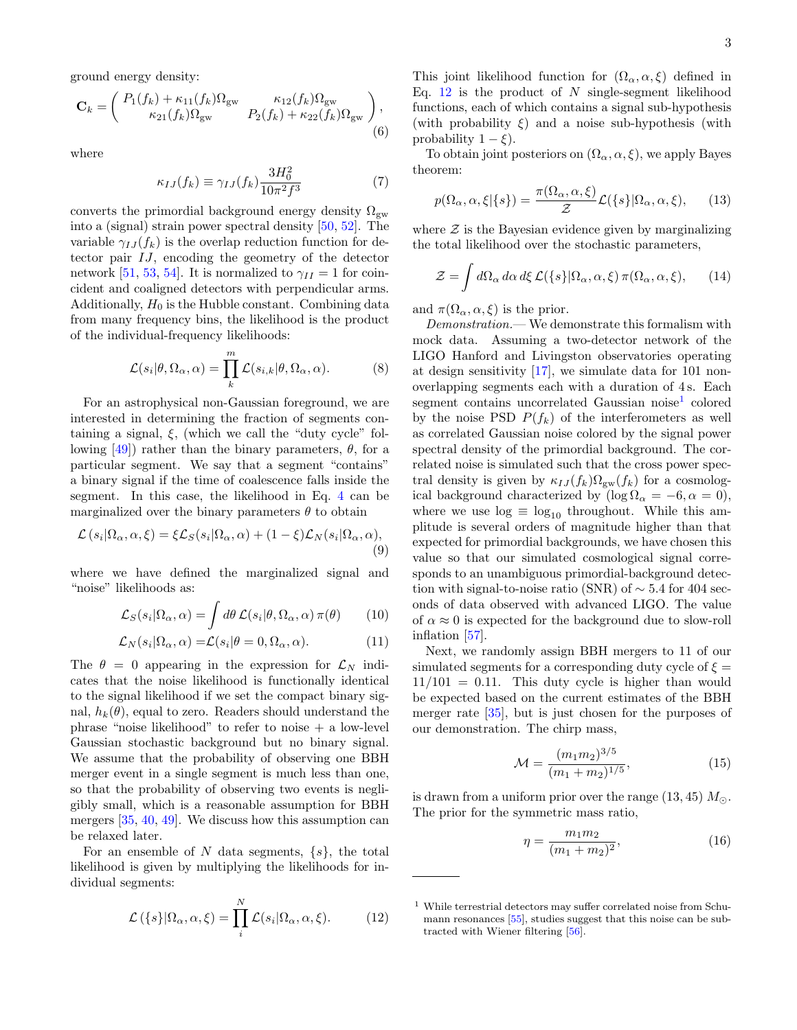ground energy density:

$$
\mathbf{C}_{k} = \begin{pmatrix} P_{1}(f_{k}) + \kappa_{11}(f_{k})\Omega_{\text{gw}} & \kappa_{12}(f_{k})\Omega_{\text{gw}} \\ \kappa_{21}(f_{k})\Omega_{\text{gw}} & P_{2}(f_{k}) + \kappa_{22}(f_{k})\Omega_{\text{gw}} \end{pmatrix},
$$
\n(6)

where

$$
\kappa_{IJ}(f_k) \equiv \gamma_{IJ}(f_k) \frac{3H_0^2}{10\pi^2 f^3} \tag{7}
$$

converts the primordial background energy density  $\Omega_{\rm gw}$ into a (signal) strain power spectral density [\[50,](#page-6-15) [52\]](#page-6-17). The variable  $\gamma_{IJ}(f_k)$  is the overlap reduction function for detector pair IJ, encoding the geometry of the detector network [\[51,](#page-6-16) [53,](#page-6-18) [54\]](#page-6-19). It is normalized to  $\gamma_{II} = 1$  for coincident and coaligned detectors with perpendicular arms. Additionally,  $H_0$  is the Hubble constant. Combining data from many frequency bins, the likelihood is the product of the individual-frequency likelihoods:

$$
\mathcal{L}(s_i|\theta, \Omega_\alpha, \alpha) = \prod_k^m \mathcal{L}(s_{i,k}|\theta, \Omega_\alpha, \alpha).
$$
 (8)

For an astrophysical non-Gaussian foreground, we are interested in determining the fraction of segments containing a signal,  $\xi$ , (which we call the "duty cycle" following  $[49]$ ) rather than the binary parameters,  $\theta$ , for a particular segment. We say that a segment "contains" a binary signal if the time of coalescence falls inside the segment. In this case, the likelihood in Eq. [4](#page-1-0) can be marginalized over the binary parameters  $\theta$  to obtain

$$
\mathcal{L}(s_i|\Omega_\alpha, \alpha, \xi) = \xi \mathcal{L}_S(s_i|\Omega_\alpha, \alpha) + (1 - \xi)\mathcal{L}_N(s_i|\Omega_\alpha, \alpha),
$$
\n(9)

where we have defined the marginalized signal and "noise" likelihoods as:

$$
\mathcal{L}_S(s_i|\Omega_\alpha,\alpha) = \int d\theta \, \mathcal{L}(s_i|\theta,\Omega_\alpha,\alpha) \, \pi(\theta) \qquad (10)
$$

$$
\mathcal{L}_N(s_i|\Omega_\alpha,\alpha) = \mathcal{L}(s_i|\theta = 0, \Omega_\alpha, \alpha). \tag{11}
$$

The  $\theta = 0$  appearing in the expression for  $\mathcal{L}_N$  indicates that the noise likelihood is functionally identical to the signal likelihood if we set the compact binary signal,  $h_k(\theta)$ , equal to zero. Readers should understand the phrase "noise likelihood" to refer to noise + a low-level Gaussian stochastic background but no binary signal. We assume that the probability of observing one BBH merger event in a single segment is much less than one, so that the probability of observing two events is negligibly small, which is a reasonable assumption for BBH mergers [\[35,](#page-6-3) [40,](#page-6-5) [49\]](#page-6-14). We discuss how this assumption can be relaxed later.

For an ensemble of N data segments,  $\{s\}$ , the total likelihood is given by multiplying the likelihoods for individual segments:

$$
\mathcal{L}(\{s\}|\Omega_{\alpha}, \alpha, \xi) = \prod_{i}^{N} \mathcal{L}(s_i|\Omega_{\alpha}, \alpha, \xi). \tag{12}
$$

This joint likelihood function for  $(\Omega_{\alpha}, \alpha, \xi)$  defined in Eq. [12](#page-2-0) is the product of  $N$  single-segment likelihood functions, each of which contains a signal sub-hypothesis (with probability  $\xi$ ) and a noise sub-hypothesis (with probability  $1 - \xi$ ).

<span id="page-2-2"></span>To obtain joint posteriors on  $(\Omega_{\alpha}, \alpha, \xi)$ , we apply Bayes theorem:

$$
p(\Omega_{\alpha}, \alpha, \xi | \{s\}) = \frac{\pi(\Omega_{\alpha}, \alpha, \xi)}{\mathcal{Z}} \mathcal{L}(\{s\} | \Omega_{\alpha}, \alpha, \xi), \qquad (13)
$$

where  $\mathcal Z$  is the Bayesian evidence given by marginalizing the total likelihood over the stochastic parameters,

<span id="page-2-6"></span>
$$
\mathcal{Z} = \int d\Omega_{\alpha} d\alpha \, d\xi \, \mathcal{L}(\{s\} | \Omega_{\alpha}, \alpha, \xi) \, \pi(\Omega_{\alpha}, \alpha, \xi), \qquad (14)
$$

and  $\pi(\Omega_{\alpha}, \alpha, \xi)$  is the prior.

Demonstration.— We demonstrate this formalism with mock data. Assuming a two-detector network of the LIGO Hanford and Livingston observatories operating at design sensitivity [\[17\]](#page-5-14), we simulate data for 101 nonoverlapping segments each with a duration of 4 s. Each segment contains uncorrelated Gaussian noise<sup>[1](#page-2-1)</sup> colored by the noise PSD  $P(f_k)$  of the interferometers as well as correlated Gaussian noise colored by the signal power spectral density of the primordial background. The correlated noise is simulated such that the cross power spectral density is given by  $\kappa_{IJ}(f_k)\Omega_{gw}(f_k)$  for a cosmological background characterized by  $(\log \Omega_{\alpha} = -6, \alpha = 0)$ , where we use  $log \equiv log_{10}$  throughout. While this amplitude is several orders of magnitude higher than that expected for primordial backgrounds, we have chosen this value so that our simulated cosmological signal corresponds to an unambiguous primordial-background detection with signal-to-noise ratio (SNR) of  $\sim$  5.4 for 404 seconds of data observed with advanced LIGO. The value of  $\alpha \approx 0$  is expected for the background due to slow-roll inflation [\[57\]](#page-6-20).

<span id="page-2-5"></span><span id="page-2-4"></span><span id="page-2-3"></span>Next, we randomly assign BBH mergers to 11 of our simulated segments for a corresponding duty cycle of  $\xi =$  $11/101 = 0.11$ . This duty cycle is higher than would be expected based on the current estimates of the BBH merger rate [\[35\]](#page-6-3), but is just chosen for the purposes of our demonstration. The chirp mass,

$$
\mathcal{M} = \frac{(m_1 m_2)^{3/5}}{(m_1 + m_2)^{1/5}},\tag{15}
$$

is drawn from a uniform prior over the range  $(13, 45)$   $M_{\odot}$ . The prior for the symmetric mass ratio,

$$
\eta = \frac{m_1 m_2}{(m_1 + m_2)^2},\tag{16}
$$

<span id="page-2-1"></span><span id="page-2-0"></span><sup>1</sup> While terrestrial detectors may suffer correlated noise from Schumann resonances [\[55\]](#page-6-21), studies suggest that this noise can be subtracted with Wiener filtering [\[56\]](#page-6-22).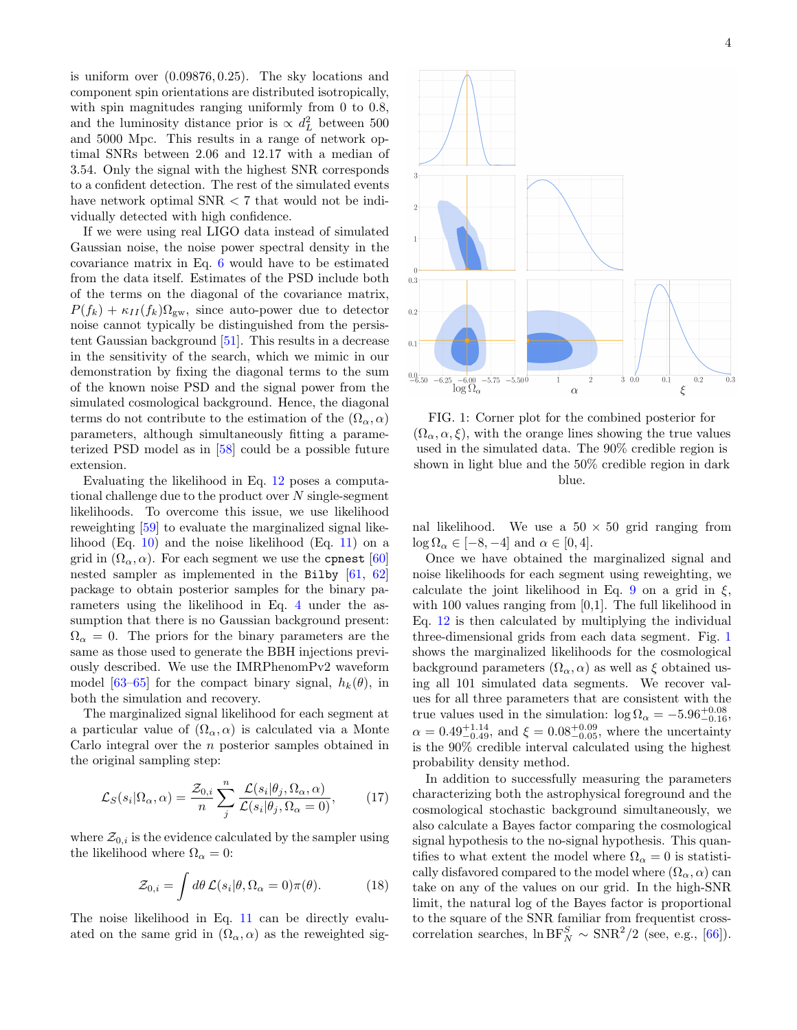is uniform over (0.09876, 0.25). The sky locations and component spin orientations are distributed isotropically, with spin magnitudes ranging uniformly from 0 to 0.8, and the luminosity distance prior is  $\propto d_L^2$  between 500 and 5000 Mpc. This results in a range of network optimal SNRs between 2.06 and 12.17 with a median of 3.54. Only the signal with the highest SNR corresponds to a confident detection. The rest of the simulated events have network optimal SNR < 7 that would not be individually detected with high confidence.

If we were using real LIGO data instead of simulated Gaussian noise, the noise power spectral density in the covariance matrix in Eq. [6](#page-2-2) would have to be estimated from the data itself. Estimates of the PSD include both of the terms on the diagonal of the covariance matrix,  $P(f_k) + \kappa_{II}(f_k)\Omega_{\rm gw}$ , since auto-power due to detector noise cannot typically be distinguished from the persistent Gaussian background [\[51\]](#page-6-16). This results in a decrease in the sensitivity of the search, which we mimic in our demonstration by fixing the diagonal terms to the sum of the known noise PSD and the signal power from the simulated cosmological background. Hence, the diagonal terms do not contribute to the estimation of the  $(\Omega_{\alpha}, \alpha)$ parameters, although simultaneously fitting a parameterized PSD model as in [\[58\]](#page-6-23) could be a possible future extension.

Evaluating the likelihood in Eq. [12](#page-2-0) poses a computational challenge due to the product over  $N$  single-segment likelihoods. To overcome this issue, we use likelihood reweighting [\[59\]](#page-6-24) to evaluate the marginalized signal likelihood  $(Eq. 10)$  $(Eq. 10)$  and the noise likelihood  $(Eq. 11)$  $(Eq. 11)$  on a grid in  $(\Omega_{\alpha}, \alpha)$ . For each segment we use the conest [\[60\]](#page-6-25) nested sampler as implemented in the Bilby [\[61,](#page-6-26) [62\]](#page-6-27) package to obtain posterior samples for the binary parameters using the likelihood in Eq. [4](#page-1-0) under the assumption that there is no Gaussian background present:  $\Omega_{\alpha} = 0$ . The priors for the binary parameters are the same as those used to generate the BBH injections previously described. We use the IMRPhenomPv2 waveform model [\[63](#page-6-28)[–65\]](#page-6-29) for the compact binary signal,  $h_k(\theta)$ , in both the simulation and recovery.

The marginalized signal likelihood for each segment at a particular value of  $(\Omega_{\alpha}, \alpha)$  is calculated via a Monte Carlo integral over the n posterior samples obtained in the original sampling step:

$$
\mathcal{L}_S(s_i|\Omega_\alpha,\alpha) = \frac{\mathcal{Z}_{0,i}}{n} \sum_j^n \frac{\mathcal{L}(s_i|\theta_j,\Omega_\alpha,\alpha)}{\mathcal{L}(s_i|\theta_j,\Omega_\alpha=0)},\tag{17}
$$

where  $\mathcal{Z}_{0,i}$  is the evidence calculated by the sampler using the likelihood where  $\Omega_{\alpha} = 0$ :

$$
\mathcal{Z}_{0,i} = \int d\theta \, \mathcal{L}(s_i | \theta, \Omega_\alpha = 0) \pi(\theta). \tag{18}
$$

The noise likelihood in Eq. [11](#page-2-4) can be directly evaluated on the same grid in  $(\Omega_{\alpha}, \alpha)$  as the reweighted sig-

<span id="page-3-0"></span>

FIG. 1: Corner plot for the combined posterior for  $(\Omega_{\alpha}, \alpha, \xi)$ , with the orange lines showing the true values used in the simulated data. The 90% credible region is shown in light blue and the 50% credible region in dark blue.

nal likelihood. We use a  $50 \times 50$  grid ranging from  $\log \Omega_{\alpha} \in [-8, -4]$  and  $\alpha \in [0, 4]$ .

Once we have obtained the marginalized signal and noise likelihoods for each segment using reweighting, we calculate the joint likelihood in Eq. [9](#page-2-5) on a grid in  $\xi$ , with 100 values ranging from [0,1]. The full likelihood in Eq. [12](#page-2-0) is then calculated by multiplying the individual three-dimensional grids from each data segment. Fig. [1](#page-3-0) shows the marginalized likelihoods for the cosmological background parameters  $(\Omega_{\alpha}, \alpha)$  as well as  $\xi$  obtained using all 101 simulated data segments. We recover values for all three parameters that are consistent with the true values used in the simulation:  $\log \Omega_{\alpha} = -5.96_{-0.16}^{+0.08}$ ,  $\alpha = 0.49_{-0.49}^{+1.14}$ , and  $\xi = 0.08_{-0.05}^{+0.09}$ , where the uncertainty is the 90% credible interval calculated using the highest probability density method.

<span id="page-3-1"></span>In addition to successfully measuring the parameters characterizing both the astrophysical foreground and the cosmological stochastic background simultaneously, we also calculate a Bayes factor comparing the cosmological signal hypothesis to the no-signal hypothesis. This quantifies to what extent the model where  $\Omega_{\alpha} = 0$  is statistically disfavored compared to the model where  $(\Omega_{\alpha}, \alpha)$  can take on any of the values on our grid. In the high-SNR limit, the natural log of the Bayes factor is proportional to the square of the SNR familiar from frequentist crosscorrelation searches,  $\ln BF_N^S \sim \text{SNR}^2/2$  (see, e.g., [\[66\]](#page-6-30)).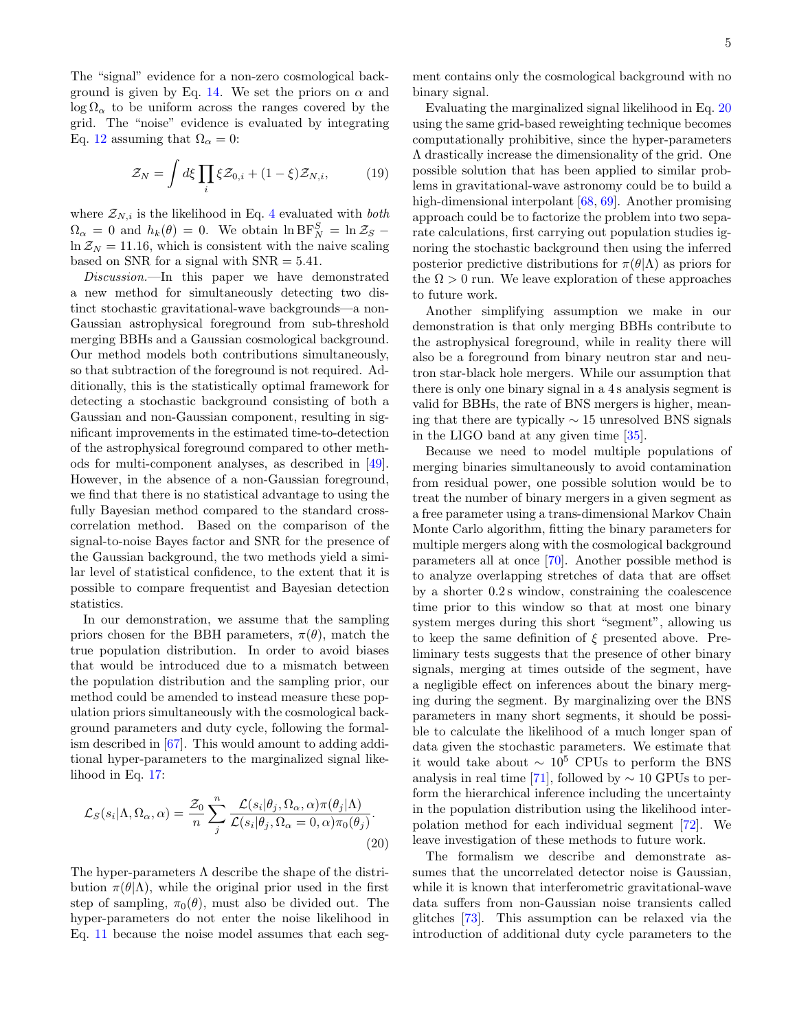The "signal" evidence for a non-zero cosmological back-ground is given by Eq. [14.](#page-2-6) We set the priors on  $\alpha$  and  $\log \Omega_{\alpha}$  to be uniform across the ranges covered by the grid. The "noise" evidence is evaluated by integrating Eq. [12](#page-2-0) assuming that  $\Omega_{\alpha} = 0$ :

$$
\mathcal{Z}_N = \int d\xi \prod_i \xi \mathcal{Z}_{0,i} + (1 - \xi) \mathcal{Z}_{N,i},\tag{19}
$$

where  $\mathcal{Z}_{N,i}$  is the likelihood in Eq. [4](#page-1-0) evaluated with *both*  $\Omega_{\alpha} = 0$  and  $h_k(\theta) = 0$ . We obtain  $\ln \text{BF}_{N}^{S} = \ln \mathcal{Z}_{S}$  $\ln Z_N = 11.16$ , which is consistent with the naive scaling based on SNR for a signal with  $SNR = 5.41$ .

Discussion.—In this paper we have demonstrated a new method for simultaneously detecting two distinct stochastic gravitational-wave backgrounds—a non-Gaussian astrophysical foreground from sub-threshold merging BBHs and a Gaussian cosmological background. Our method models both contributions simultaneously, so that subtraction of the foreground is not required. Additionally, this is the statistically optimal framework for detecting a stochastic background consisting of both a Gaussian and non-Gaussian component, resulting in significant improvements in the estimated time-to-detection of the astrophysical foreground compared to other methods for multi-component analyses, as described in [\[49\]](#page-6-14). However, in the absence of a non-Gaussian foreground, we find that there is no statistical advantage to using the fully Bayesian method compared to the standard crosscorrelation method. Based on the comparison of the signal-to-noise Bayes factor and SNR for the presence of the Gaussian background, the two methods yield a similar level of statistical confidence, to the extent that it is possible to compare frequentist and Bayesian detection statistics.

In our demonstration, we assume that the sampling priors chosen for the BBH parameters,  $\pi(\theta)$ , match the true population distribution. In order to avoid biases that would be introduced due to a mismatch between the population distribution and the sampling prior, our method could be amended to instead measure these population priors simultaneously with the cosmological background parameters and duty cycle, following the formalism described in [\[67\]](#page-6-31). This would amount to adding additional hyper-parameters to the marginalized signal likelihood in Eq. [17:](#page-3-1)

$$
\mathcal{L}_{S}(s_{i}|\Lambda,\Omega_{\alpha},\alpha) = \frac{\mathcal{Z}_{0}}{n} \sum_{j}^{n} \frac{\mathcal{L}(s_{i}|\theta_{j},\Omega_{\alpha},\alpha)\pi(\theta_{j}|\Lambda)}{\mathcal{L}(s_{i}|\theta_{j},\Omega_{\alpha}=0,\alpha)\pi_{0}(\theta_{j})}.
$$
\n(20)

The hyper-parameters  $\Lambda$  describe the shape of the distribution  $\pi(\theta|\Lambda)$ , while the original prior used in the first step of sampling,  $\pi_0(\theta)$ , must also be divided out. The hyper-parameters do not enter the noise likelihood in Eq. [11](#page-2-4) because the noise model assumes that each segment contains only the cosmological background with no binary signal.

Evaluating the marginalized signal likelihood in Eq. [20](#page-4-0) using the same grid-based reweighting technique becomes computationally prohibitive, since the hyper-parameters Λ drastically increase the dimensionality of the grid. One possible solution that has been applied to similar problems in gravitational-wave astronomy could be to build a high-dimensional interpolant [\[68,](#page-6-32) [69\]](#page-6-33). Another promising approach could be to factorize the problem into two separate calculations, first carrying out population studies ignoring the stochastic background then using the inferred posterior predictive distributions for  $\pi(\theta|\Lambda)$  as priors for the  $\Omega > 0$  run. We leave exploration of these approaches to future work.

Another simplifying assumption we make in our demonstration is that only merging BBHs contribute to the astrophysical foreground, while in reality there will also be a foreground from binary neutron star and neutron star-black hole mergers. While our assumption that there is only one binary signal in a 4 s analysis segment is valid for BBHs, the rate of BNS mergers is higher, meaning that there are typically ∼ 15 unresolved BNS signals in the LIGO band at any given time [\[35\]](#page-6-3).

Because we need to model multiple populations of merging binaries simultaneously to avoid contamination from residual power, one possible solution would be to treat the number of binary mergers in a given segment as a free parameter using a trans-dimensional Markov Chain Monte Carlo algorithm, fitting the binary parameters for multiple mergers along with the cosmological background parameters all at once [\[70\]](#page-6-34). Another possible method is to analyze overlapping stretches of data that are offset by a shorter 0.2 s window, constraining the coalescence time prior to this window so that at most one binary system merges during this short "segment", allowing us to keep the same definition of  $\xi$  presented above. Preliminary tests suggests that the presence of other binary signals, merging at times outside of the segment, have a negligible effect on inferences about the binary merging during the segment. By marginalizing over the BNS parameters in many short segments, it should be possible to calculate the likelihood of a much longer span of data given the stochastic parameters. We estimate that it would take about  $∼ 10^5$  CPUs to perform the BNS analysis in real time [\[71\]](#page-6-35), followed by  $\sim 10$  GPUs to perform the hierarchical inference including the uncertainty in the population distribution using the likelihood interpolation method for each individual segment [\[72\]](#page-6-36). We leave investigation of these methods to future work.

<span id="page-4-0"></span>The formalism we describe and demonstrate assumes that the uncorrelated detector noise is Gaussian, while it is known that interferometric gravitational-wave data suffers from non-Gaussian noise transients called glitches [\[73\]](#page-6-37). This assumption can be relaxed via the introduction of additional duty cycle parameters to the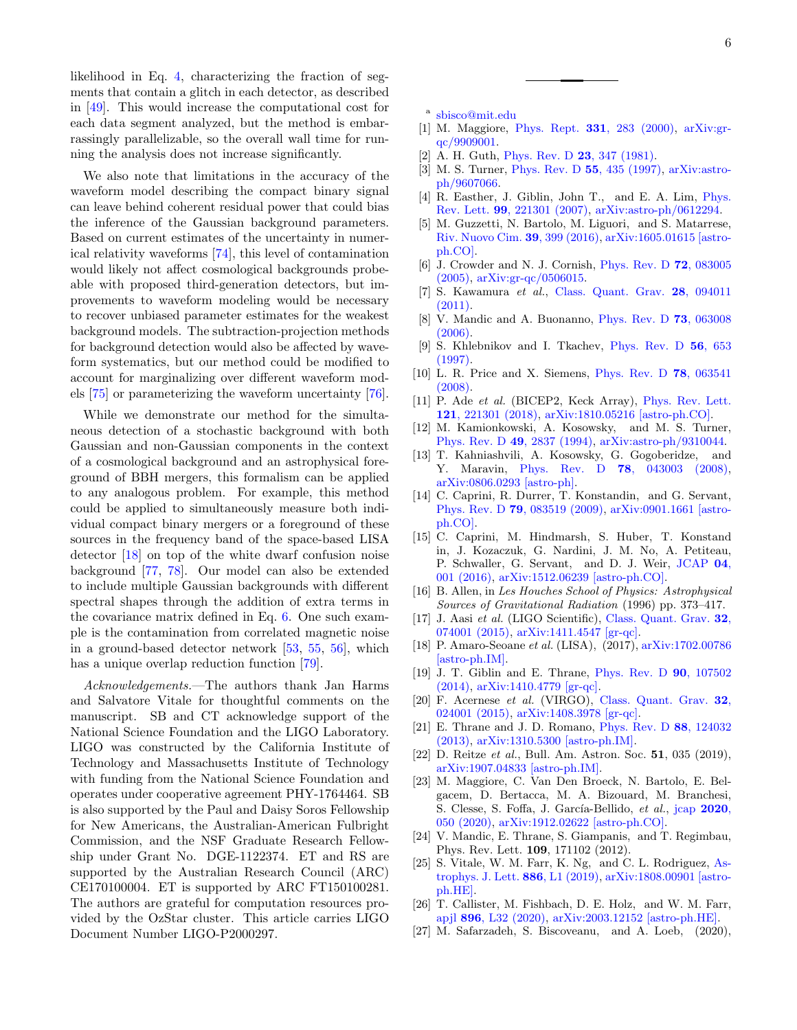likelihood in Eq. [4,](#page-1-0) characterizing the fraction of segments that contain a glitch in each detector, as described in [\[49\]](#page-6-14). This would increase the computational cost for each data segment analyzed, but the method is embarrassingly parallelizable, so the overall wall time for running the analysis does not increase significantly.

We also note that limitations in the accuracy of the waveform model describing the compact binary signal can leave behind coherent residual power that could bias the inference of the Gaussian background parameters. Based on current estimates of the uncertainty in numerical relativity waveforms [\[74\]](#page-6-38), this level of contamination would likely not affect cosmological backgrounds probeable with proposed third-generation detectors, but improvements to waveform modeling would be necessary to recover unbiased parameter estimates for the weakest background models. The subtraction-projection methods for background detection would also be affected by waveform systematics, but our method could be modified to account for marginalizing over different waveform models [\[75\]](#page-6-39) or parameterizing the waveform uncertainty [\[76\]](#page-6-40).

While we demonstrate our method for the simultaneous detection of a stochastic background with both Gaussian and non-Gaussian components in the context of a cosmological background and an astrophysical foreground of BBH mergers, this formalism can be applied to any analogous problem. For example, this method could be applied to simultaneously measure both individual compact binary mergers or a foreground of these sources in the frequency band of the space-based LISA detector [\[18\]](#page-5-15) on top of the white dwarf confusion noise background [\[77,](#page-6-41) [78\]](#page-6-42). Our model can also be extended to include multiple Gaussian backgrounds with different spectral shapes through the addition of extra terms in the covariance matrix defined in Eq. [6.](#page-2-2) One such example is the contamination from correlated magnetic noise in a ground-based detector network [\[53,](#page-6-18) [55,](#page-6-21) [56\]](#page-6-22), which has a unique overlap reduction function [\[79\]](#page-6-43).

Acknowledgements.—The authors thank Jan Harms and Salvatore Vitale for thoughtful comments on the manuscript. SB and CT acknowledge support of the National Science Foundation and the LIGO Laboratory. LIGO was constructed by the California Institute of Technology and Massachusetts Institute of Technology with funding from the National Science Foundation and operates under cooperative agreement PHY-1764464. SB is also supported by the Paul and Daisy Soros Fellowship for New Americans, the Australian-American Fulbright Commission, and the NSF Graduate Research Fellowship under Grant No. DGE-1122374. ET and RS are supported by the Australian Research Council (ARC) CE170100004. ET is supported by ARC FT150100281. The authors are grateful for computation resources provided by the OzStar cluster. This article carries LIGO Document Number LIGO-P2000297.

- <span id="page-5-0"></span>a [sbisco@mit.edu](mailto:sbisco@mit.edu)
- <span id="page-5-1"></span>[1] M. Maggiore, Phys. Rept. 331[, 283 \(2000\),](http://dx.doi.org/10.1016/S0370-1573(99)00102-7) [arXiv:gr](http://arxiv.org/abs/gr-qc/9909001)[qc/9909001.](http://arxiv.org/abs/gr-qc/9909001)
- <span id="page-5-2"></span>[2] A. H. Guth, [Phys. Rev. D](http://dx.doi.org/10.1103/PhysRevD.23.347) 23, 347 (1981).
- [3] M. S. Turner, [Phys. Rev. D](http://dx.doi.org/10.1103/PhysRevD.55.R435) 55, 435 (1997), [arXiv:astro](http://arxiv.org/abs/astro-ph/9607066)[ph/9607066.](http://arxiv.org/abs/astro-ph/9607066)
- [4] R. Easther, J. Giblin, John T., and E. A. Lim, [Phys.](http://dx.doi.org/10.1103/PhysRevLett.99.221301) Rev. Lett. 99[, 221301 \(2007\),](http://dx.doi.org/10.1103/PhysRevLett.99.221301) [arXiv:astro-ph/0612294.](http://arxiv.org/abs/astro-ph/0612294)
- <span id="page-5-3"></span>[5] M. Guzzetti, N. Bartolo, M. Liguori, and S. Matarrese, [Riv. Nuovo Cim.](http://dx.doi.org/10.1393/ncr/i2016-10127-1) 39, 399 (2016), [arXiv:1605.01615 \[astro](http://arxiv.org/abs/1605.01615)[ph.CO\].](http://arxiv.org/abs/1605.01615)
- <span id="page-5-4"></span>[6] J. Crowder and N. J. Cornish, [Phys. Rev. D](http://dx.doi.org/10.1103/PhysRevD.72.083005) 72, 083005 [\(2005\),](http://dx.doi.org/10.1103/PhysRevD.72.083005) [arXiv:gr-qc/0506015.](http://arxiv.org/abs/gr-qc/0506015)
- <span id="page-5-5"></span>[7] S. Kawamura et al., [Class. Quant. Grav.](http://dx.doi.org/10.1088/0264-9381/28/9/094011) 28, 094011 [\(2011\).](http://dx.doi.org/10.1088/0264-9381/28/9/094011)
- <span id="page-5-6"></span>[8] V. Mandic and A. Buonanno, [Phys. Rev. D](http://dx.doi.org/10.1103/PhysRevD.73.063008) 73, 063008  $(2006)$ .
- <span id="page-5-7"></span>[9] S. Khlebnikov and I. Tkachev, [Phys. Rev. D](http://dx.doi.org/10.1103/PhysRevD.56.653) 56, 653 [\(1997\).](http://dx.doi.org/10.1103/PhysRevD.56.653)
- <span id="page-5-8"></span>[10] L. R. Price and X. Siemens, [Phys. Rev. D](http://dx.doi.org/10.1103/PhysRevD.78.063541) 78, 063541 [\(2008\).](http://dx.doi.org/10.1103/PhysRevD.78.063541)
- <span id="page-5-9"></span>[11] P. Ade et al. (BICEP2, Keck Array), [Phys. Rev. Lett.](http://dx.doi.org/10.1103/PhysRevLett.121.221301) 121[, 221301 \(2018\),](http://dx.doi.org/10.1103/PhysRevLett.121.221301) [arXiv:1810.05216 \[astro-ph.CO\].](http://arxiv.org/abs/1810.05216)
- <span id="page-5-10"></span>[12] M. Kamionkowski, A. Kosowsky, and M. S. Turner, [Phys. Rev. D](http://dx.doi.org/10.1103/PhysRevD.49.2837) 49, 2837 (1994), [arXiv:astro-ph/9310044.](http://arxiv.org/abs/astro-ph/9310044)
- <span id="page-5-12"></span>[13] T. Kahniashvili, A. Kosowsky, G. Gogoberidze, and Y. Maravin, Phys. Rev. D **78**[, 043003 \(2008\),](http://dx.doi.org/10.1103/PhysRevD.78.043003) [arXiv:0806.0293 \[astro-ph\].](http://arxiv.org/abs/0806.0293)
- [14] C. Caprini, R. Durrer, T. Konstandin, and G. Servant, Phys. Rev. D 79[, 083519 \(2009\),](http://dx.doi.org/10.1103/PhysRevD.79.083519) [arXiv:0901.1661 \[astro](http://arxiv.org/abs/0901.1661)[ph.CO\].](http://arxiv.org/abs/0901.1661)
- <span id="page-5-11"></span>[15] C. Caprini, M. Hindmarsh, S. Huber, T. Konstand in, J. Kozaczuk, G. Nardini, J. M. No, A. Petiteau, P. Schwaller, G. Servant, and D. J. Weir, [JCAP](http://dx.doi.org/ 10.1088/1475-7516/2016/04/001) 04, [001 \(2016\),](http://dx.doi.org/ 10.1088/1475-7516/2016/04/001) [arXiv:1512.06239 \[astro-ph.CO\].](http://arxiv.org/abs/1512.06239)
- <span id="page-5-13"></span>[16] B. Allen, in Les Houches School of Physics: Astrophysical Sources of Gravitational Radiation (1996) pp. 373–417.
- <span id="page-5-14"></span>[17] J. Aasi et al. (LIGO Scientific), [Class. Quant. Grav.](http://dx.doi.org/10.1088/0264-9381/32/7/074001) 32, [074001 \(2015\),](http://dx.doi.org/10.1088/0264-9381/32/7/074001) [arXiv:1411.4547 \[gr-qc\].](http://arxiv.org/abs/1411.4547)
- <span id="page-5-15"></span>[18] P. Amaro-Seoane et al. (LISA), (2017), [arXiv:1702.00786](http://arxiv.org/abs/1702.00786) [\[astro-ph.IM\].](http://arxiv.org/abs/1702.00786)
- <span id="page-5-16"></span>[19] J. T. Giblin and E. Thrane, [Phys. Rev. D](http://dx.doi.org/10.1103/PhysRevD.90.107502) 90, 107502 [\(2014\),](http://dx.doi.org/10.1103/PhysRevD.90.107502) [arXiv:1410.4779 \[gr-qc\].](http://arxiv.org/abs/1410.4779)
- <span id="page-5-17"></span>[20] F. Acernese et al. (VIRGO), [Class. Quant. Grav.](http://dx.doi.org/10.1088/0264-9381/32/2/024001) 32, [024001 \(2015\),](http://dx.doi.org/10.1088/0264-9381/32/2/024001) [arXiv:1408.3978 \[gr-qc\].](http://arxiv.org/abs/1408.3978)
- <span id="page-5-18"></span>[21] E. Thrane and J. D. Romano, [Phys. Rev. D](http://dx.doi.org/10.1103/PhysRevD.88.124032) 88, 124032 [\(2013\),](http://dx.doi.org/10.1103/PhysRevD.88.124032) [arXiv:1310.5300 \[astro-ph.IM\].](http://arxiv.org/abs/1310.5300)
- <span id="page-5-22"></span>[22] D. Reitze et al., Bull. Am. Astron. Soc. 51, 035 (2019), [arXiv:1907.04833 \[astro-ph.IM\].](http://arxiv.org/abs/1907.04833)
- <span id="page-5-19"></span>[23] M. Maggiore, C. Van Den Broeck, N. Bartolo, E. Belgacem, D. Bertacca, M. A. Bizouard, M. Branchesi, S. Clesse, S. Foffa, J. García-Bellido, et al., jcap [2020](http://dx.doi.org/10.1088/1475-7516/2020/03/050), [050 \(2020\),](http://dx.doi.org/10.1088/1475-7516/2020/03/050) [arXiv:1912.02622 \[astro-ph.CO\].](http://arxiv.org/abs/1912.02622)
- <span id="page-5-20"></span>[24] V. Mandic, E. Thrane, S. Giampanis, and T. Regimbau, Phys. Rev. Lett. 109, 171102 (2012).
- [25] S. Vitale, W. M. Farr, K. Ng, and C. L. Rodriguez, [As](http://dx.doi.org/ 10.3847/2041-8213/ab50c0)[trophys. J. Lett.](http://dx.doi.org/ 10.3847/2041-8213/ab50c0) 886, L1 (2019), [arXiv:1808.00901 \[astro](http://arxiv.org/abs/1808.00901)[ph.HE\].](http://arxiv.org/abs/1808.00901)
- [26] T. Callister, M. Fishbach, D. E. Holz, and W. M. Farr, apjl 896[, L32 \(2020\),](http://dx.doi.org/10.3847/2041-8213/ab9743) [arXiv:2003.12152 \[astro-ph.HE\].](http://arxiv.org/abs/2003.12152)
- <span id="page-5-21"></span>[27] M. Safarzadeh, S. Biscoveanu, and A. Loeb, (2020),